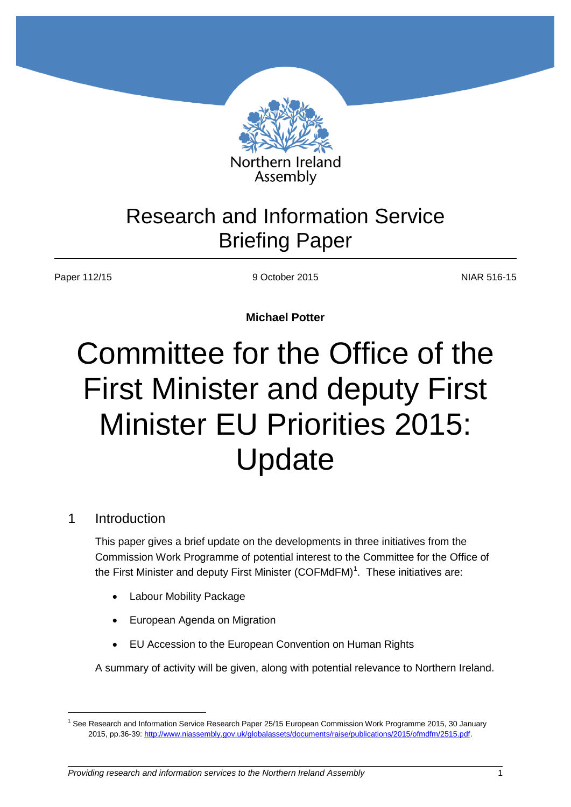

# Research and Information Service Briefing Paper

Paper 112/15 9 October 2015 9 9 October 2015

**Michael Potter**

# Committee for the Office of the First Minister and deputy First Minister EU Priorities 2015: Update

### 1 Introduction

 $\overline{a}$ 

This paper gives a brief update on the developments in three initiatives from the Commission Work Programme of potential interest to the Committee for the Office of the First Minister and deputy First Minister (COFMdFM)<sup>1</sup>. These initiatives are:

- Labour Mobility Package
- European Agenda on Migration
- EU Accession to the European Convention on Human Rights

A summary of activity will be given, along with potential relevance to Northern Ireland.

<sup>&</sup>lt;sup>1</sup> See Research and Information Service Research Paper 25/15 European Commission Work Programme 2015, 30 January 2015, pp.36-39[: http://www.niassembly.gov.uk/globalassets/documents/raise/publications/2015/ofmdfm/2515.pdf.](http://www.niassembly.gov.uk/globalassets/documents/raise/publications/2015/ofmdfm/2515.pdf)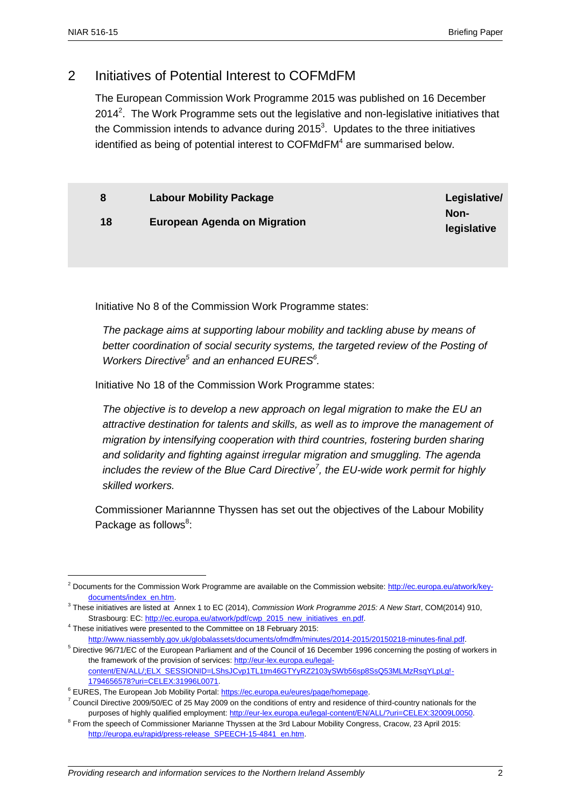$\overline{a}$ 

## 2 Initiatives of Potential Interest to COFMdFM

The European Commission Work Programme 2015 was published on 16 December 2014<sup>2</sup>. The Work Programme sets out the legislative and non-legislative initiatives that the Commission intends to advance during 2015<sup>3</sup>. Updates to the three initiatives identified as being of potential interest to COFMdFM<sup>4</sup> are summarised below.

|    | <b>Labour Mobility Package</b> | Legislative/ |
|----|--------------------------------|--------------|
| 18 | European Agenda on Migration   | Non-         |
|    |                                | legislative  |

Initiative No 8 of the Commission Work Programme states:

*The package aims at supporting labour mobility and tackling abuse by means of*  better coordination of social security systems, the targeted review of the Posting of *Workers Directive<sup>5</sup> and an enhanced EURES<sup>6</sup> .*

Initiative No 18 of the Commission Work Programme states:

*The objective is to develop a new approach on legal migration to make the EU an attractive destination for talents and skills, as well as to improve the management of migration by intensifying cooperation with third countries, fostering burden sharing and solidarity and fighting against irregular migration and smuggling. The agenda*  includes the review of the Blue Card Directive<sup>7</sup>, the EU-wide work permit for highly *skilled workers.*

Commissioner Mariannne Thyssen has set out the objectives of the Labour Mobility Package as follows<sup>8</sup>:

<sup>2</sup> Documents for the Commission Work Programme are available on the Commission website[: http://ec.europa.eu/atwork/key](http://ec.europa.eu/atwork/key-documents/index_en.htm)[documents/index\\_en.htm.](http://ec.europa.eu/atwork/key-documents/index_en.htm)

<sup>3</sup> These initiatives are listed at Annex 1 to EC (2014), *Commission Work Programme 2015: A New Start*, COM(2014) 910, Strasbourg: EC[: http://ec.europa.eu/atwork/pdf/cwp\\_2015\\_new\\_initiatives\\_en.pdf.](http://ec.europa.eu/atwork/pdf/cwp_2015_new_initiatives_en.pdf)

 $4$  These initiatives were presented to the Committee on 18 February 2015:

[http://www.niassembly.gov.uk/globalassets/documents/ofmdfm/minutes/2014-2015/20150218-minutes-final.pdf.](http://www.niassembly.gov.uk/globalassets/documents/ofmdfm/minutes/2014-2015/20150218-minutes-final.pdf)  <sup>5</sup> Directive 96/71/EC of the European Parliament and of the Council of 16 December 1996 concerning the posting of workers in the framework of the provision of services[: http://eur-lex.europa.eu/legal](http://eur-lex.europa.eu/legal-content/EN/ALL/;ELX_SESSIONID=LShsJCvp1TL1tm46GTYyRZ2103ySWb56sp8SsQ53MLMzRsqYLpLg!-1794656578?uri=CELEX:31996L0071)[content/EN/ALL/;ELX\\_SESSIONID=LShsJCvp1TL1tm46GTYyRZ2103ySWb56sp8SsQ53MLMzRsqYLpLg!-](http://eur-lex.europa.eu/legal-content/EN/ALL/;ELX_SESSIONID=LShsJCvp1TL1tm46GTYyRZ2103ySWb56sp8SsQ53MLMzRsqYLpLg!-1794656578?uri=CELEX:31996L0071) [1794656578?uri=CELEX:31996L0071.](http://eur-lex.europa.eu/legal-content/EN/ALL/;ELX_SESSIONID=LShsJCvp1TL1tm46GTYyRZ2103ySWb56sp8SsQ53MLMzRsqYLpLg!-1794656578?uri=CELEX:31996L0071) 

<sup>&</sup>lt;sup>6</sup> EURES, The European Job Mobility Portal[: https://ec.europa.eu/eures/page/homepage.](https://ec.europa.eu/eures/page/homepage)

 $7$  Council Directive 2009/50/EC of 25 May 2009 on the conditions of entry and residence of third-country nationals for the purposes of highly qualified employment[: http://eur-lex.europa.eu/legal-content/EN/ALL/?uri=CELEX:32009L0050.](http://eur-lex.europa.eu/legal-content/EN/ALL/?uri=CELEX:32009L0050)

<sup>&</sup>lt;sup>8</sup> From the speech of Commissioner Marianne Thyssen at the 3rd Labour Mobility Congress, Cracow, 23 April 2015: [http://europa.eu/rapid/press-release\\_SPEECH-15-4841\\_en.htm.](http://europa.eu/rapid/press-release_SPEECH-15-4841_en.htm)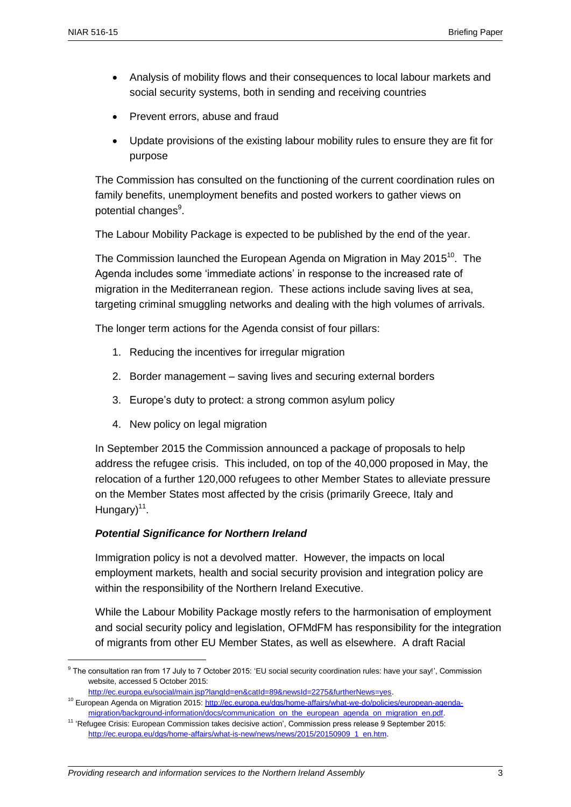$\overline{a}$ 

- Analysis of mobility flows and their consequences to local labour markets and social security systems, both in sending and receiving countries
- Prevent errors, abuse and fraud
- Update provisions of the existing labour mobility rules to ensure they are fit for purpose

The Commission has consulted on the functioning of the current coordination rules on family benefits, unemployment benefits and posted workers to gather views on potential changes<sup>9</sup>.

The Labour Mobility Package is expected to be published by the end of the year.

The Commission launched the European Agenda on Migration in May 2015<sup>10</sup>. The Agenda includes some 'immediate actions' in response to the increased rate of migration in the Mediterranean region. These actions include saving lives at sea, targeting criminal smuggling networks and dealing with the high volumes of arrivals.

The longer term actions for the Agenda consist of four pillars:

- 1. Reducing the incentives for irregular migration
- 2. Border management saving lives and securing external borders
- 3. Europe's duty to protect: a strong common asylum policy
- 4. New policy on legal migration

In September 2015 the Commission announced a package of proposals to help address the refugee crisis. This included, on top of the 40,000 proposed in May, the relocation of a further 120,000 refugees to other Member States to alleviate pressure on the Member States most affected by the crisis (primarily Greece, Italy and Hungary)<sup>11</sup>.

#### *Potential Significance for Northern Ireland*

Immigration policy is not a devolved matter. However, the impacts on local employment markets, health and social security provision and integration policy are within the responsibility of the Northern Ireland Executive.

While the Labour Mobility Package mostly refers to the harmonisation of employment and social security policy and legislation, OFMdFM has responsibility for the integration of migrants from other EU Member States, as well as elsewhere. A draft Racial

<sup>&</sup>lt;sup>9</sup> The consultation ran from 17 July to 7 October 2015: 'EU social security coordination rules: have your say!', Commission website, accessed 5 October 2015:

http://ec.europa.eu/social/main.jsp?langId=en&catId=89&newsId=2275&furtherNews=yes.

<sup>&</sup>lt;sup>10</sup> European Agenda on Migration 2015: [http://ec.europa.eu/dgs/home-affairs/what-we-do/policies/european-agenda](http://ec.europa.eu/dgs/home-affairs/what-we-do/policies/european-agenda-migration/background-information/docs/communication_on_the_european_agenda_on_migration_en.pdf)[migration/background-information/docs/communication\\_on\\_the\\_european\\_agenda\\_on\\_migration\\_en.pdf.](http://ec.europa.eu/dgs/home-affairs/what-we-do/policies/european-agenda-migration/background-information/docs/communication_on_the_european_agenda_on_migration_en.pdf)

<sup>&</sup>lt;sup>11</sup> 'Refugee Crisis: European Commission takes decisive action', Commission press release 9 September 2015: [http://ec.europa.eu/dgs/home-affairs/what-is-new/news/news/2015/20150909\\_1\\_en.htm.](http://ec.europa.eu/dgs/home-affairs/what-is-new/news/news/2015/20150909_1_en.htm)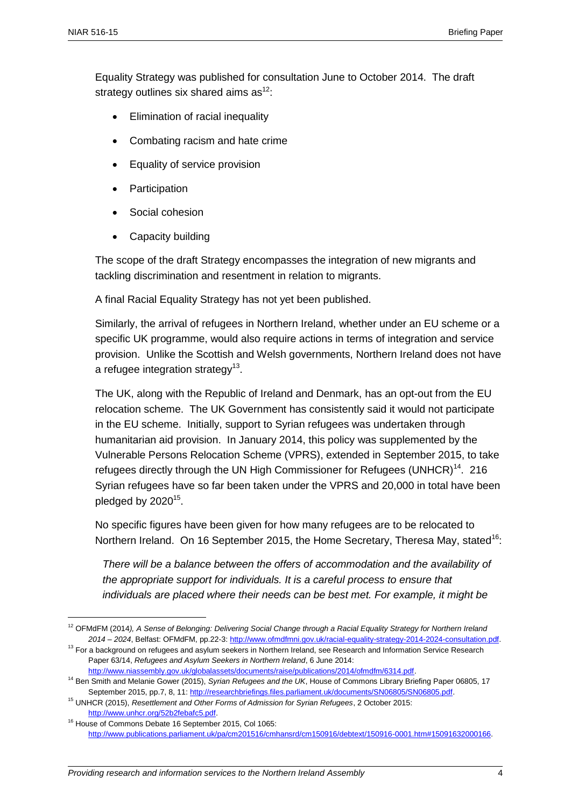$\overline{a}$ 

Equality Strategy was published for consultation June to October 2014. The draft strategy outlines six shared aims  $as^{12}$ :

- Elimination of racial inequality
- Combating racism and hate crime
- Equality of service provision
- Participation
- Social cohesion
- Capacity building

The scope of the draft Strategy encompasses the integration of new migrants and tackling discrimination and resentment in relation to migrants.

A final Racial Equality Strategy has not yet been published.

Similarly, the arrival of refugees in Northern Ireland, whether under an EU scheme or a specific UK programme, would also require actions in terms of integration and service provision. Unlike the Scottish and Welsh governments, Northern Ireland does not have a refugee integration strategy<sup>13</sup>.

The UK, along with the Republic of Ireland and Denmark, has an opt-out from the EU relocation scheme. The UK Government has consistently said it would not participate in the EU scheme. Initially, support to Syrian refugees was undertaken through humanitarian aid provision. In January 2014, this policy was supplemented by the Vulnerable Persons Relocation Scheme (VPRS), extended in September 2015, to take refugees directly through the UN High Commissioner for Refugees (UNHCR)<sup>14</sup>. 216 Syrian refugees have so far been taken under the VPRS and 20,000 in total have been pledged by 2020 $^{15}$ .

No specific figures have been given for how many refugees are to be relocated to Northern Ireland. On 16 September 2015, the Home Secretary, Theresa May, stated<sup>16</sup>:

*There will be a balance between the offers of accommodation and the availability of the appropriate support for individuals. It is a careful process to ensure that individuals are placed where their needs can be best met. For example, it might be* 

<sup>12</sup> OFMdFM (2014*), A Sense of Belonging: Delivering Social Change through a Racial Equality Strategy for Northern Ireland 2014 – 2024*, Belfast: OFMdFM, pp.22-3: [http://www.ofmdfmni.gov.uk/racial-equality-strategy-2014-2024-consultation.pdf.](http://www.ofmdfmni.gov.uk/racial-equality-strategy-2014-2024-consultation.pdf) 

<sup>&</sup>lt;sup>13</sup> For a background on refugees and asylum seekers in Northern Ireland, see Research and Information Service Research Paper 63/14, *Refugees and Asylum Seekers in Northern Ireland*, 6 June 2014:

[http://www.niassembly.gov.uk/globalassets/documents/raise/publications/2014/ofmdfm/6314.pdf.](http://www.niassembly.gov.uk/globalassets/documents/raise/publications/2014/ofmdfm/6314.pdf)

<sup>14</sup> Ben Smith and Melanie Gower (2015), *Syrian Refugees and the UK*, House of Commons Library Briefing Paper 06805, 17 September 2015, pp.7, 8, 11: [http://researchbriefings.files.parliament.uk/documents/SN06805/SN06805.pdf.](http://researchbriefings.files.parliament.uk/documents/SN06805/SN06805.pdf)

<sup>15</sup> UNHCR (2015), *Resettlement and Other Forms of Admission for Syrian Refugees*, 2 October 2015: [http://www.unhcr.org/52b2febafc5.pdf.](http://www.unhcr.org/52b2febafc5.pdf)

<sup>&</sup>lt;sup>16</sup> House of Commons Debate 16 September 2015, Col 1065: [http://www.publications.parliament.uk/pa/cm201516/cmhansrd/cm150916/debtext/150916-0001.htm#15091632000166.](http://www.publications.parliament.uk/pa/cm201516/cmhansrd/cm150916/debtext/150916-0001.htm#15091632000166)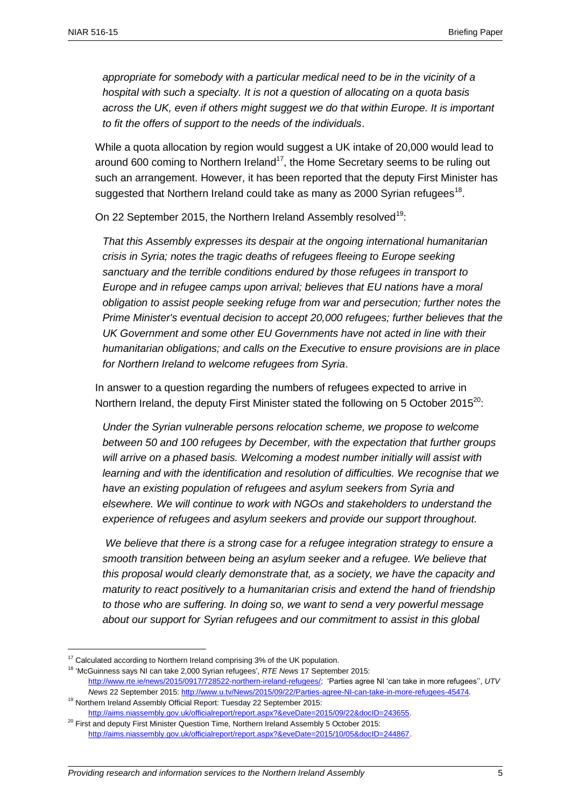*appropriate for somebody with a particular medical need to be in the vicinity of a hospital with such a specialty. It is not a question of allocating on a quota basis across the UK, even if others might suggest we do that within Europe. It is important to fit the offers of support to the needs of the individuals*.

While a quota allocation by region would suggest a UK intake of 20,000 would lead to around 600 coming to Northern Ireland<sup>17</sup>, the Home Secretary seems to be ruling out such an arrangement. However, it has been reported that the deputy First Minister has suggested that Northern Ireland could take as many as 2000 Syrian refugees<sup>18</sup>.

On 22 September 2015, the Northern Ireland Assembly resolved<sup>19</sup>:

*That this Assembly expresses its despair at the ongoing international humanitarian crisis in Syria; notes the tragic deaths of refugees fleeing to Europe seeking sanctuary and the terrible conditions endured by those refugees in transport to Europe and in refugee camps upon arrival; believes that EU nations have a moral obligation to assist people seeking refuge from war and persecution; further notes the Prime Minister's eventual decision to accept 20,000 refugees; further believes that the UK Government and some other EU Governments have not acted in line with their humanitarian obligations; and calls on the Executive to ensure provisions are in place for Northern Ireland to welcome refugees from Syria*.

In answer to a question regarding the numbers of refugees expected to arrive in Northern Ireland, the deputy First Minister stated the following on 5 October 2015<sup>20</sup>:

*Under the Syrian vulnerable persons relocation scheme, we propose to welcome between 50 and 100 refugees by December, with the expectation that further groups will arrive on a phased basis. Welcoming a modest number initially will assist with learning and with the identification and resolution of difficulties. We recognise that we have an existing population of refugees and asylum seekers from Syria and elsewhere. We will continue to work with NGOs and stakeholders to understand the experience of refugees and asylum seekers and provide our support throughout.*

*We believe that there is a strong case for a refugee integration strategy to ensure a smooth transition between being an asylum seeker and a refugee. We believe that this proposal would clearly demonstrate that, as a society, we have the capacity and maturity to react positively to a humanitarian crisis and extend the hand of friendship to those who are suffering. In doing so, we want to send a very powerful message about our support for Syrian refugees and our commitment to assist in this global* 

 $\overline{a}$ 

 $17$  Calculated according to Northern Ireland comprising 3% of the UK population.

<sup>&</sup>lt;sup>18</sup> 'McGuinness says NI can take 2,000 Syrian refugees', *RTE News* 17 September 2015:

[http://www.rte.ie/news/2015/0917/728522-northern-ireland-refugees/;](http://www.rte.ie/news/2015/0917/728522-northern-ireland-refugees/) 'Parties agree NI 'can take in more refugees'', *UTV News* 22 September 2015: [http://www.u.tv/News/2015/09/22/Parties-agree-NI-can-take-in-more-refugees-45474.](http://www.u.tv/News/2015/09/22/Parties-agree-NI-can-take-in-more-refugees-45474)

<sup>&</sup>lt;sup>19</sup> Northern Ireland Assembly Official Report: Tuesday 22 September 2015: [http://aims.niassembly.gov.uk/officialreport/report.aspx?&eveDate=2015/09/22&docID=243655.](http://aims.niassembly.gov.uk/officialreport/report.aspx?&eveDate=2015/09/22&docID=243655)

 $20$  First and deputy First Minister Question Time, Northern Ireland Assembly 5 October 2015: [http://aims.niassembly.gov.uk/officialreport/report.aspx?&eveDate=2015/10/05&docID=244867.](http://aims.niassembly.gov.uk/officialreport/report.aspx?&eveDate=2015/10/05&docID=244867)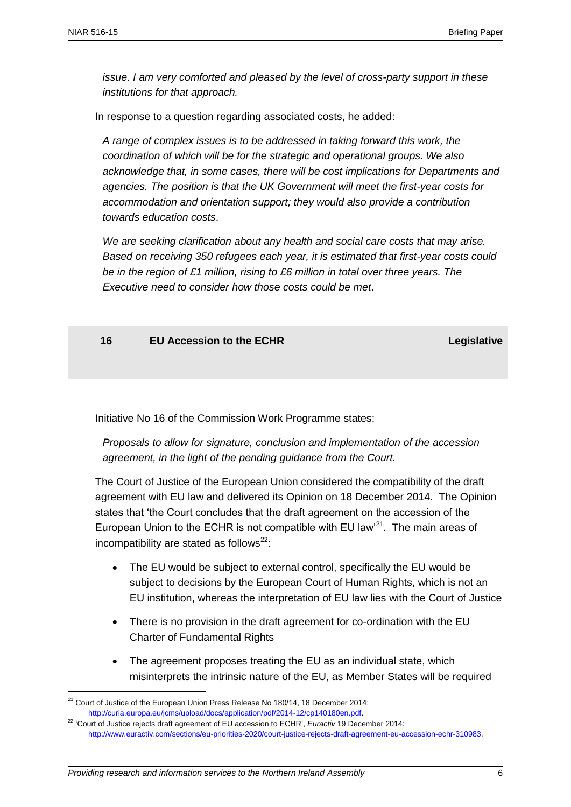*issue. I am very comforted and pleased by the level of cross-party support in these institutions for that approach.*

In response to a question regarding associated costs, he added:

*A range of complex issues is to be addressed in taking forward this work, the coordination of which will be for the strategic and operational groups. We also acknowledge that, in some cases, there will be cost implications for Departments and agencies. The position is that the UK Government will meet the first-year costs for accommodation and orientation support; they would also provide a contribution towards education costs*.

*We are seeking clarification about any health and social care costs that may arise. Based on receiving 350 refugees each year, it is estimated that first-year costs could be in the region of £1 million, rising to £6 million in total over three years. The Executive need to consider how those costs could be met*.

**16 EU Accession to the ECHR Legislative**

Initiative No 16 of the Commission Work Programme states:

*Proposals to allow for signature, conclusion and implementation of the accession agreement, in the light of the pending guidance from the Court.*

The Court of Justice of the European Union considered the compatibility of the draft agreement with EU law and delivered its Opinion on 18 December 2014. The Opinion states that 'the Court concludes that the draft agreement on the accession of the European Union to the ECHR is not compatible with EU law'<sup>21</sup>. The main areas of incompatibility are stated as follows<sup>22</sup>:

- The EU would be subject to external control, specifically the EU would be subject to decisions by the European Court of Human Rights, which is not an EU institution, whereas the interpretation of EU law lies with the Court of Justice
- There is no provision in the draft agreement for co-ordination with the EU Charter of Fundamental Rights
- The agreement proposes treating the EU as an individual state, which misinterprets the intrinsic nature of the EU, as Member States will be required

 $\overline{a}$ 

 $21$  Court of Justice of the European Union Press Release No 180/14, 18 December 2014: [http://curia.europa.eu/jcms/upload/docs/application/pdf/2014-12/cp140180en.pdf.](http://curia.europa.eu/jcms/upload/docs/application/pdf/2014-12/cp140180en.pdf)

<sup>&</sup>lt;sup>22</sup> 'Court of Justice rejects draft agreement of EU accession to ECHR', *Euractiv* 19 December 2014: [http://www.euractiv.com/sections/eu-priorities-2020/court-justice-rejects-draft-agreement-eu-accession-echr-310983.](http://www.euractiv.com/sections/eu-priorities-2020/court-justice-rejects-draft-agreement-eu-accession-echr-310983)